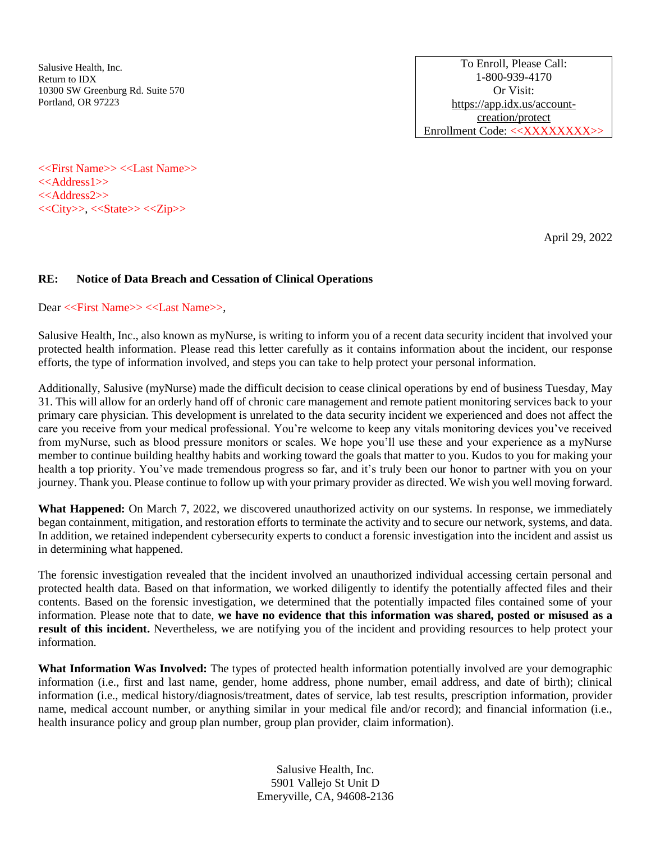Salusive Health, Inc. Return to IDX 10300 SW Greenburg Rd. Suite 570 Portland, OR 97223

To Enroll, Please Call: 1-800-939-4170 Or Visit: [https://app.idx.us/account](https://app.idx.us/account-creation/protect)[creation/protect](https://app.idx.us/account-creation/protect) Enrollment Code: <<XXXXXXXX>>

<<First Name>> <<Last Name>> <<Address1>> <<Address2>> <<City>>, <<State>> <<Zip>>

April 29, 2022

## **RE: Notice of Data Breach and Cessation of Clinical Operations**

Dear <<First Name>> <<Last Name>>,

Salusive Health, Inc., also known as myNurse, is writing to inform you of a recent data security incident that involved your protected health information. Please read this letter carefully as it contains information about the incident, our response efforts, the type of information involved, and steps you can take to help protect your personal information.

Additionally, Salusive (myNurse) made the difficult decision to cease clinical operations by end of business Tuesday, May 31. This will allow for an orderly hand off of chronic care management and remote patient monitoring services back to your primary care physician. This development is unrelated to the data security incident we experienced and does not affect the care you receive from your medical professional. You're welcome to keep any vitals monitoring devices you've received from myNurse, such as blood pressure monitors or scales. We hope you'll use these and your experience as a myNurse member to continue building healthy habits and working toward the goals that matter to you. Kudos to you for making your health a top priority. You've made tremendous progress so far, and it's truly been our honor to partner with you on your journey. Thank you. Please continue to follow up with your primary provider as directed. We wish you well moving forward.

**What Happened:** On March 7, 2022, we discovered unauthorized activity on our systems. In response, we immediately began containment, mitigation, and restoration efforts to terminate the activity and to secure our network, systems, and data. In addition, we retained independent cybersecurity experts to conduct a forensic investigation into the incident and assist us in determining what happened.

The forensic investigation revealed that the incident involved an unauthorized individual accessing certain personal and protected health data. Based on that information, we worked diligently to identify the potentially affected files and their contents. Based on the forensic investigation, we determined that the potentially impacted files contained some of your information. Please note that to date, **we have no evidence that this information was shared, posted or misused as a result of this incident.** Nevertheless, we are notifying you of the incident and providing resources to help protect your information.

**What Information Was Involved:** The types of protected health information potentially involved are your demographic information (i.e., first and last name, gender, home address, phone number, email address, and date of birth); clinical information (i.e., medical history/diagnosis/treatment, dates of service, lab test results, prescription information, provider name, medical account number, or anything similar in your medical file and/or record); and financial information (i.e., health insurance policy and group plan number, group plan provider, claim information).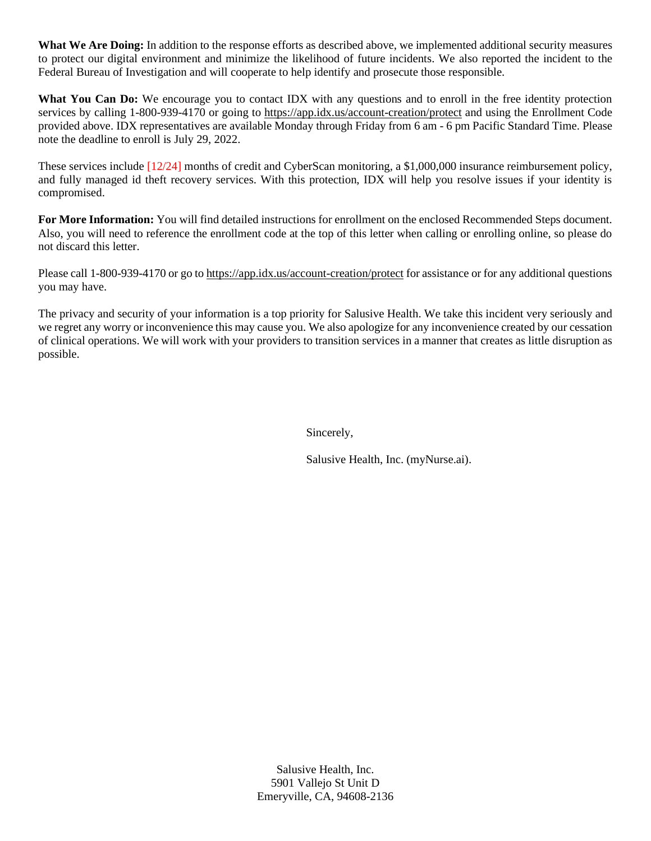**What We Are Doing:** In addition to the response efforts as described above, we implemented additional security measures to protect our digital environment and minimize the likelihood of future incidents. We also reported the incident to the Federal Bureau of Investigation and will cooperate to help identify and prosecute those responsible.

What You Can Do: We encourage you to contact IDX with any questions and to enroll in the free identity protection services by calling 1-800-939-4170 or going to<https://app.idx.us/account-creation/protect> and using the Enrollment Code provided above. IDX representatives are available Monday through Friday from 6 am - 6 pm Pacific Standard Time. Please note the deadline to enroll is July 29, 2022.

These services include [12/24] months of credit and CyberScan monitoring, a \$1,000,000 insurance reimbursement policy, and fully managed id theft recovery services. With this protection, IDX will help you resolve issues if your identity is compromised.

**For More Information:** You will find detailed instructions for enrollment on the enclosed Recommended Steps document. Also, you will need to reference the enrollment code at the top of this letter when calling or enrolling online, so please do not discard this letter.

Please call 1-800-939-4170 or go to<https://app.idx.us/account-creation/protect> for assistance or for any additional questions you may have.

The privacy and security of your information is a top priority for Salusive Health. We take this incident very seriously and we regret any worry or inconvenience this may cause you. We also apologize for any inconvenience created by our cessation of clinical operations. We will work with your providers to transition services in a manner that creates as little disruption as possible.

Sincerely,

Salusive Health, Inc. (myNurse.ai).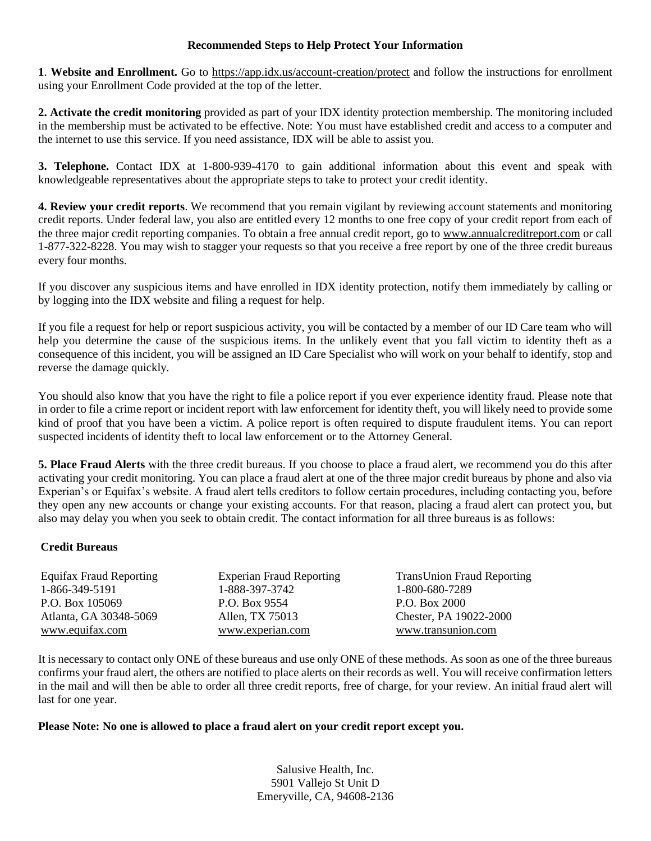## **Recommended Steps to Help Protect Your Information**

**1**. **Website and Enrollment.** Go to<https://app.idx.us/account-creation/protect> and follow the instructions for enrollment using your Enrollment Code provided at the top of the letter.

**2. Activate the credit monitoring** provided as part of your IDX identity protection membership. The monitoring included in the membership must be activated to be effective. Note: You must have established credit and access to a computer and the internet to use this service. If you need assistance, IDX will be able to assist you.

**3. Telephone.** Contact IDX at 1-800-939-4170 to gain additional information about this event and speak with knowledgeable representatives about the appropriate steps to take to protect your credit identity.

**4. Review your credit reports**. We recommend that you remain vigilant by reviewing account statements and monitoring credit reports. Under federal law, you also are entitled every 12 months to one free copy of your credit report from each of the three major credit reporting companies. To obtain a free annual credit report, go t[o www.annualcreditreport.com](http://www.annualcreditreport.com/) or call 1-877-322-8228. You may wish to stagger your requests so that you receive a free report by one of the three credit bureaus every four months.

If you discover any suspicious items and have enrolled in IDX identity protection, notify them immediately by calling or by logging into the IDX website and filing a request for help.

If you file a request for help or report suspicious activity, you will be contacted by a member of our ID Care team who will help you determine the cause of the suspicious items. In the unlikely event that you fall victim to identity theft as a consequence of this incident, you will be assigned an ID Care Specialist who will work on your behalf to identify, stop and reverse the damage quickly.

You should also know that you have the right to file a police report if you ever experience identity fraud. Please note that in order to file a crime report or incident report with law enforcement for identity theft, you will likely need to provide some kind of proof that you have been a victim. A police report is often required to dispute fraudulent items. You can report suspected incidents of identity theft to local law enforcement or to the Attorney General.

**5. Place Fraud Alerts** with the three credit bureaus. If you choose to place a fraud alert, we recommend you do this after activating your credit monitoring. You can place a fraud alert at one of the three major credit bureaus by phone and also via Experian's or Equifax's website. A fraud alert tells creditors to follow certain procedures, including contacting you, before they open any new accounts or change your existing accounts. For that reason, placing a fraud alert can protect you, but also may delay you when you seek to obtain credit. The contact information for all three bureaus is as follows:

## **Credit Bureaus**

| <b>Equifax Fraud Reporting</b> | <b>Experian Fraud Reporting</b> | <b>TransUnion Fraud Reporting</b> |
|--------------------------------|---------------------------------|-----------------------------------|
| 1-866-349-5191                 | 1-888-397-3742                  | 1-800-680-7289                    |
| P.O. Box 105069                | P.O. Box 9554                   | P.O. Box 2000                     |
| Atlanta, GA 30348-5069         | Allen, TX 75013                 | Chester, PA 19022-2000            |
| www.equifax.com                | www.experian.com                | www.transunion.com                |

It is necessary to contact only ONE of these bureaus and use only ONE of these methods. As soon as one of the three bureaus confirms your fraud alert, the others are notified to place alerts on their records as well. You will receive confirmation letters in the mail and will then be able to order all three credit reports, free of charge, for your review. An initial fraud alert will last for one year.

## **Please Note: No one is allowed to place a fraud alert on your credit report except you.**